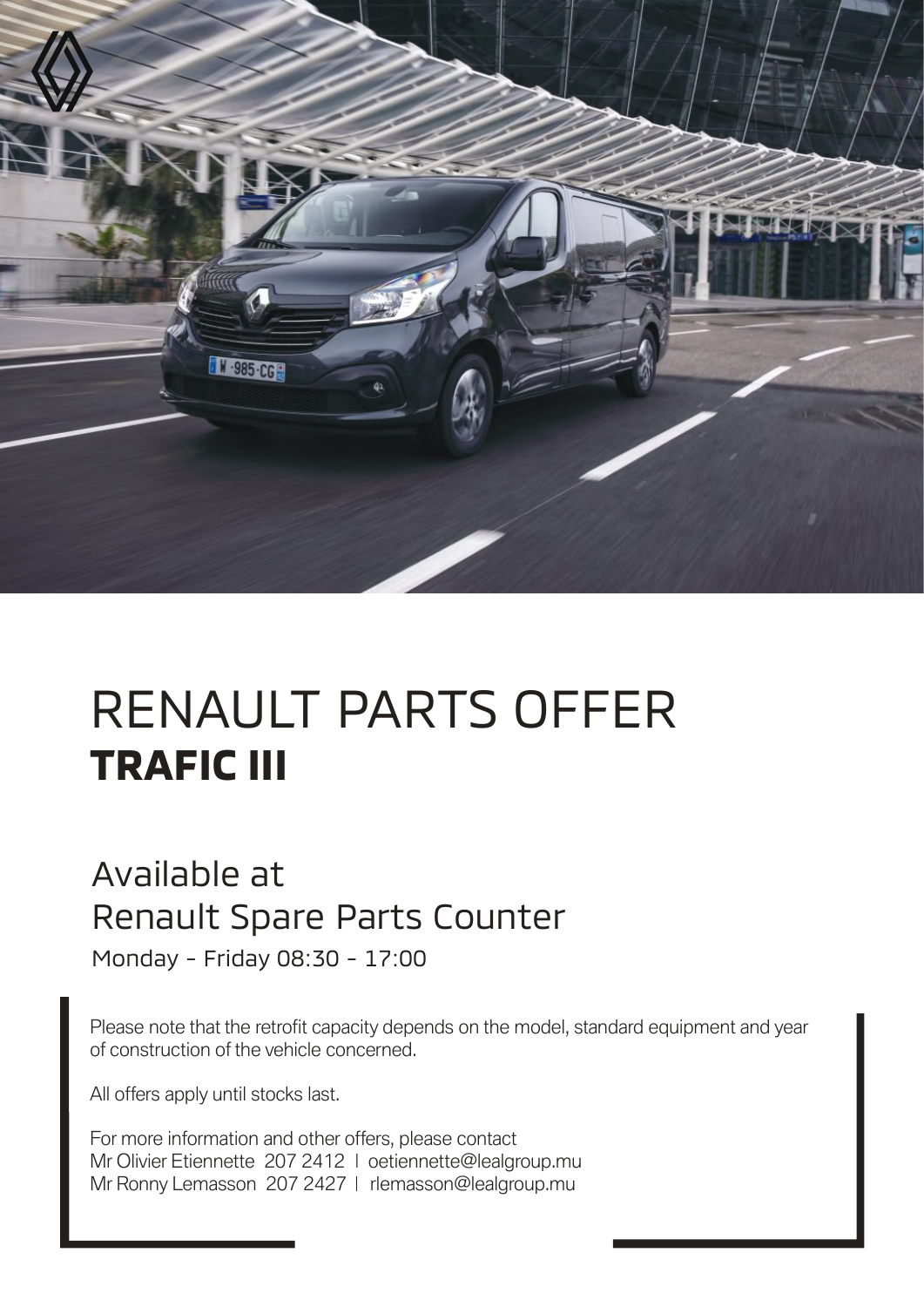

## RENAULT PARTS OFFER **TRAFIC III**

## Available at Renault Spare Parts Counter

Monday - Friday 08:30 - 17:00

Please note that the retrofit capacity depends on the model, standard equipment and year of construction of the vehicle concerned.

All offers apply until stocks last.

For more information and other offers, please contact Mr Olivier Etiennette 207 2412 | oetiennette@lealgroup.mu Mr Ronny Lemasson 207 2427 | rlemasson@lealgroup.mu